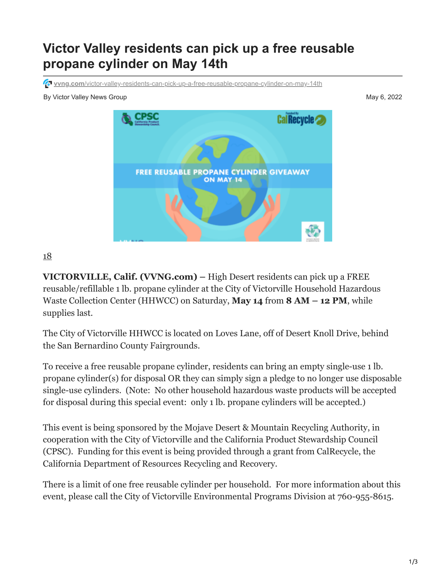## **Victor Valley residents can pick up a free reusable propane cylinder on May 14th**

**vvng.com**[/victor-valley-residents-can-pick-up-a-free-reusable-propane-cylinder-on-may-14th](https://www.vvng.com/victor-valley-residents-can-pick-up-a-free-reusable-propane-cylinder-on-may-14th/)

By Victor Valley News Group May 6, 2022



## [18](javascript:void(0))

**VICTORVILLE, Calif. (VVNG.com) –** High Desert residents can pick up a FREE reusable/refillable 1 lb. propane cylinder at the City of Victorville Household Hazardous Waste Collection Center (HHWCC) on Saturday, **May 14** from **8 AM – 12 PM**, while supplies last.

The City of Victorville HHWCC is located on Loves Lane, off of Desert Knoll Drive, behind the San Bernardino County Fairgrounds.

To receive a free reusable propane cylinder, residents can bring an empty single-use 1 lb. propane cylinder(s) for disposal OR they can simply sign a pledge to no longer use disposable single-use cylinders. (Note: No other household hazardous waste products will be accepted for disposal during this special event: only 1 lb. propane cylinders will be accepted.)

This event is being sponsored by the Mojave Desert & Mountain Recycling Authority, in cooperation with the City of Victorville and the California Product Stewardship Council (CPSC). Funding for this event is being provided through a grant from CalRecycle, the California Department of Resources Recycling and Recovery.

There is a limit of one free reusable cylinder per household. For more information about this event, please call the City of Victorville Environmental Programs Division at 760-955-8615.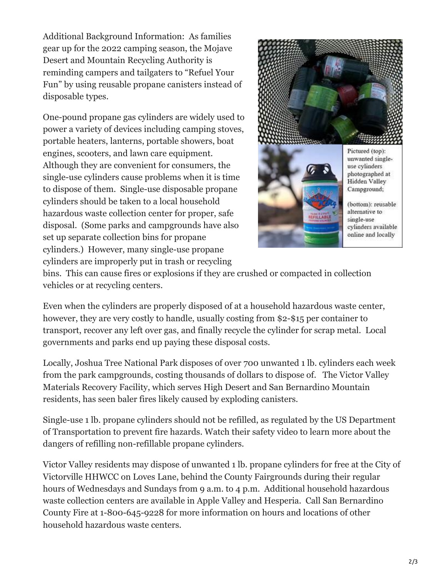Additional Background Information: As families gear up for the 2022 camping season, the Mojave Desert and Mountain Recycling Authority is reminding campers and tailgaters to "Refuel Your Fun" by using reusable propane canisters instead of disposable types.

One-pound propane gas cylinders are widely used to power a variety of devices including camping stoves, portable heaters, lanterns, portable showers, boat engines, scooters, and lawn care equipment. Although they are convenient for consumers, the single-use cylinders cause problems when it is time to dispose of them. Single-use disposable propane cylinders should be taken to a local household hazardous waste collection center for proper, safe disposal. (Some parks and campgrounds have also set up separate collection bins for propane cylinders.) However, many single-use propane cylinders are improperly put in trash or recycling



**NEFILEABL** 

(bottom): reusable alternative to single-use cylinders available online and locally

bins. This can cause fires or explosions if they are crushed or compacted in collection vehicles or at recycling centers.

Even when the cylinders are properly disposed of at a household hazardous waste center, however, they are very costly to handle, usually costing from \$2-\$15 per container to transport, recover any left over gas, and finally recycle the cylinder for scrap metal. Local governments and parks end up paying these disposal costs.

Locally, Joshua Tree National Park disposes of over 700 unwanted 1 lb. cylinders each week from the park campgrounds, costing thousands of dollars to dispose of. The Victor Valley Materials Recovery Facility, which serves High Desert and San Bernardino Mountain residents, has seen baler fires likely caused by exploding canisters.

Single-use 1 lb. propane cylinders should not be refilled, as regulated by the US Department of Transportation to prevent fire hazards. Watch their safety video to learn more about the dangers of refilling non-refillable propane cylinders.

Victor Valley residents may dispose of unwanted 1 lb. propane cylinders for free at the City of Victorville HHWCC on Loves Lane, behind the County Fairgrounds during their regular hours of Wednesdays and Sundays from 9 a.m. to 4 p.m. Additional household hazardous waste collection centers are available in Apple Valley and Hesperia. Call San Bernardino County Fire at 1-800-645-9228 for more information on hours and locations of other household hazardous waste centers.